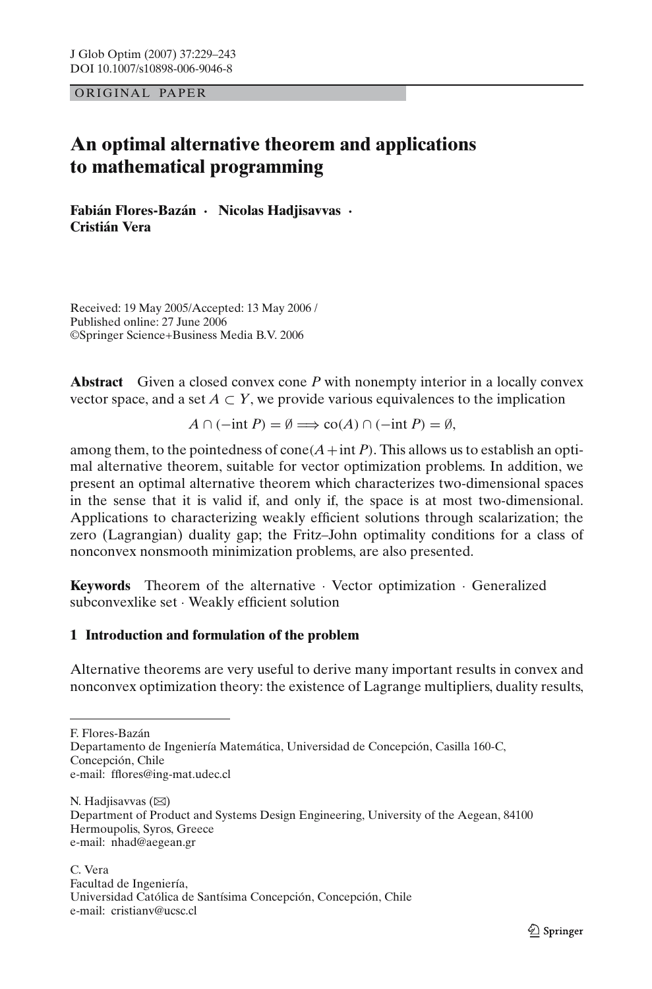OR IG INAL PAPER

# **An optimal alternative theorem and applications to mathematical programming**

**Fabián Flores-Bazán · Nicolas Hadjisavvas · Cristián Vera**

Received: 19 May 2005/Accepted: 13 May 2006 / Published online: 27 June 2006 ©Springer Science+Business Media B.V. 2006

**Abstract** Given a closed convex cone *P* with nonempty interior in a locally convex vector space, and a set  $A \subset Y$ , we provide various equivalences to the implication

 $A \cap (-\text{int } P) = \emptyset \Longrightarrow \text{co}(A) \cap (-\text{int } P) = \emptyset$ ,

among them, to the pointedness of cone  $(A + int P)$ . This allows us to establish an optimal alternative theorem, suitable for vector optimization problems. In addition, we present an optimal alternative theorem which characterizes two-dimensional spaces in the sense that it is valid if, and only if, the space is at most two-dimensional. Applications to characterizing weakly efficient solutions through scalarization; the zero (Lagrangian) duality gap; the Fritz–John optimality conditions for a class of nonconvex nonsmooth minimization problems, are also presented.

**Keywords** Theorem of the alternative · Vector optimization · Generalized subconvexlike set · Weakly efficient solution

# **1 Introduction and formulation of the problem**

Alternative theorems are very useful to derive many important results in convex and nonconvex optimization theory: the existence of Lagrange multipliers, duality results,

F. Flores-Bazán

Departamento de Ingeniería Matemática, Universidad de Concepción, Casilla 160-C, Concepción, Chile e-mail: fflores@ing-mat.udec.cl

N. Hadjisavvas  $(\boxtimes)$ Department of Product and Systems Design Engineering, University of the Aegean, 84100 Hermoupolis, Syros, Greece e-mail: nhad@aegean.gr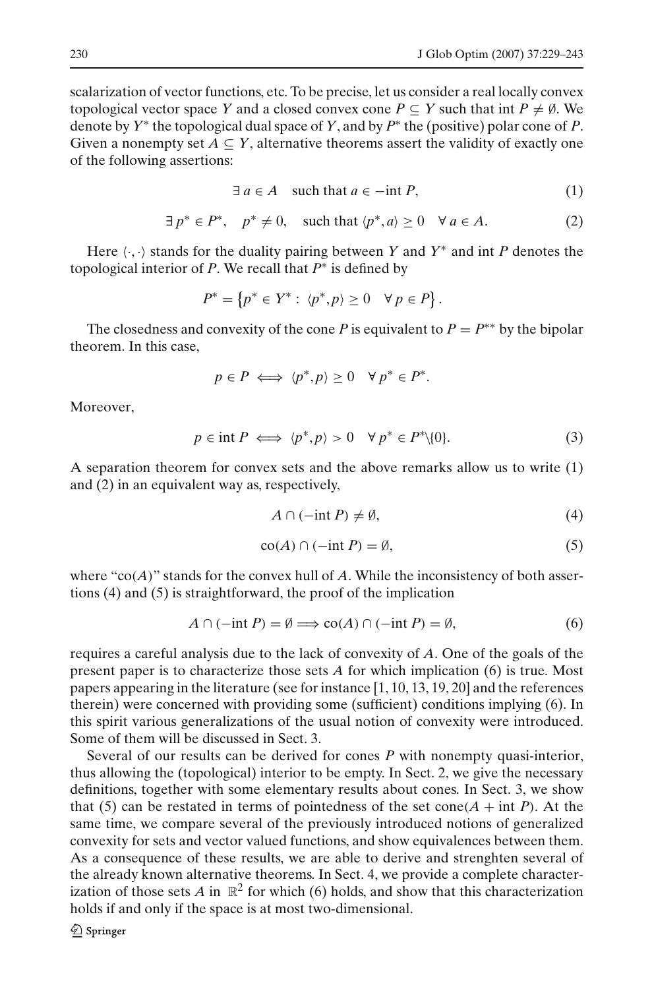scalarization of vector functions, etc. To be precise, let us consider a real locally convex topological vector space *Y* and a closed convex cone  $P \subseteq Y$  such that int  $P \neq \emptyset$ . We denote by *Y*<sup>∗</sup> the topological dual space of *Y*, and by *P*<sup>∗</sup> the (positive) polar cone of *P*. Given a nonempty set  $A \subseteq Y$ , alternative theorems assert the validity of exactly one of the following assertions:

$$
\exists a \in A \quad \text{such that } a \in -\text{int } P,\tag{1}
$$

$$
\exists p^* \in P^*, \quad p^* \neq 0, \quad \text{such that } \langle p^*, a \rangle \geq 0 \quad \forall \ a \in A. \tag{2}
$$

<span id="page-1-0"></span>Here  $\langle \cdot, \cdot \rangle$  stands for the duality pairing between *Y* and *Y*<sup>\*</sup> and int *P* denotes the topological interior of *P*. We recall that *P*<sup>∗</sup> is defined by

$$
P^* = \{ p^* \in Y^* : \langle p^*, p \rangle \ge 0 \quad \forall \ p \in P \}.
$$

The closedness and convexity of the cone *P* is equivalent to  $P = P^{**}$  by the bipolar theorem. In this case,

$$
p \in P \iff \langle p^*, p \rangle \ge 0 \quad \forall \ p^* \in P^*.
$$

Moreover,

<span id="page-1-1"></span>
$$
p \in \text{int } P \iff \langle p^*, p \rangle > 0 \quad \forall \ p^* \in P^* \setminus \{0\}. \tag{3}
$$

A separation theorem for convex sets and the above remarks allow us to write [\(1\)](#page-1-0) and [\(2\)](#page-1-0) in an equivalent way as, respectively,

$$
A \cap (-\text{int } P) \neq \emptyset, \tag{4}
$$

$$
co(A) \cap (-int P) = \emptyset,
$$
\n(5)

where " $co(A)$ " stands for the convex hull of *A*. While the inconsistency of both assertions [\(4\)](#page-1-1) and [\(5\)](#page-1-1) is straightforward, the proof of the implication

$$
A \cap (-\text{int } P) = \emptyset \Longrightarrow \text{co}(A) \cap (-\text{int } P) = \emptyset,
$$
\n(6)

<span id="page-1-2"></span>requires a careful analysis due to the lack of convexity of *A*. One of the goals of the present paper is to characterize those sets *A* for which implication [\(6\)](#page-1-2) is true. Most papers appearing in the literature (see for instance [1, 10, 13, 19, 20] and the references therein) were concerned with providing some (sufficient) conditions implying [\(6\)](#page-1-2). In this spirit various generalizations of the usual notion of convexity were introduced. Some of them will be discussed in Sect. 3.

Several of our results can be derived for cones *P* with nonempty quasi-interior, thus allowing the (topological) interior to be empty. In Sect. 2, we give the necessary definitions, together with some elementary results about cones. In Sect. 3, we show that [\(5\)](#page-1-1) can be restated in terms of pointedness of the set cone( $A$  + int *P*). At the same time, we compare several of the previously introduced notions of generalized convexity for sets and vector valued functions, and show equivalences between them. As a consequence of these results, we are able to derive and strenghten several of the already known alternative theorems. In Sect. 4, we provide a complete characterization of those sets *A* in  $\mathbb{R}^2$  for which [\(6\)](#page-1-2) holds, and show that this characterization holds if and only if the space is at most two-dimensional.

 $\mathcal{Q}$  Springer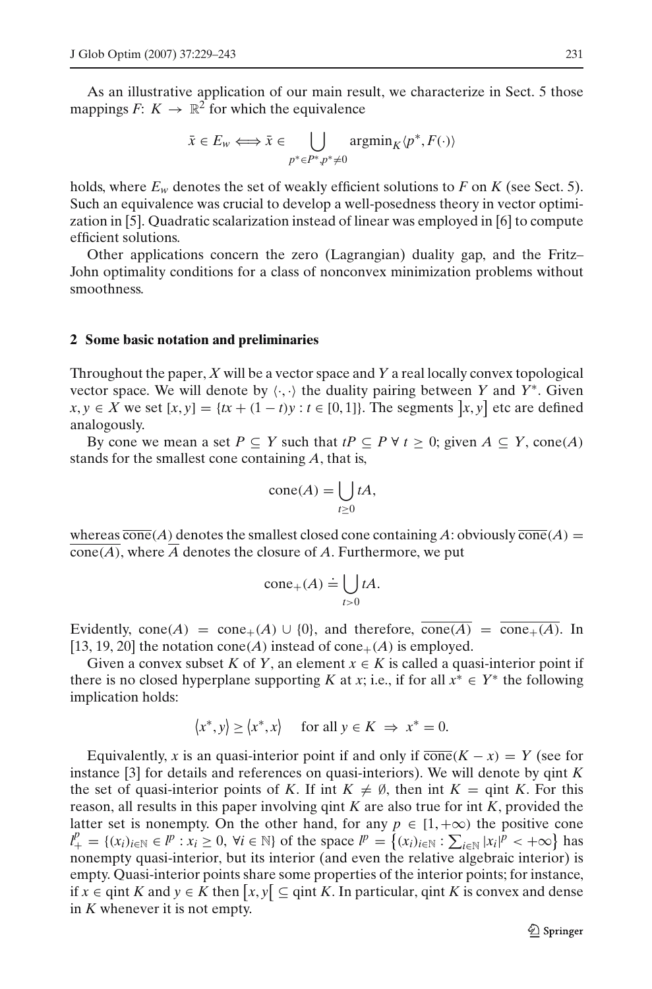As an illustrative application of our main result, we characterize in Sect. 5 those mappings  $F: K \to \mathbb{R}^2$  for which the equivalence

$$
\bar{x} \in E_w \Longleftrightarrow \bar{x} \in \bigcup_{p^* \in P^*, p^* \neq 0} \operatorname{argmin}_K \langle p^*, F(\cdot) \rangle
$$

holds, where  $E_w$  denotes the set of weakly efficient solutions to F on K (see Sect. 5). Such an equivalence was crucial to develop a well-posedness theory in vector optimization in [5]. Quadratic scalarization instead of linear was employed in [6] to compute efficient solutions.

Other applications concern the zero (Lagrangian) duality gap, and the Fritz– John optimality conditions for a class of nonconvex minimization problems without smoothness.

#### **2 Some basic notation and preliminaries**

Throughout the paper, *X* will be a vector space and *Y* a real locally convex topological vector space. We will denote by  $\langle \cdot, \cdot \rangle$  the duality pairing between *Y* and *Y*<sup>\*</sup>. Given *x*, *y* ∈ *X* we set  $[x, y] = \{tx + (1 - t)y : t \in [0, 1]\}.$  The segments  $[x, y]$  etc are defined analogously.

By cone we mean a set  $P \subseteq Y$  such that  $tP \subseteq P \forall t \geq 0$ ; given  $A \subseteq Y$ , cone(*A*) stands for the smallest cone containing *A*, that is,

$$
cone(A) = \bigcup_{t \ge 0} tA,
$$

whereas  $\overline{\text{cone}}(A)$  denotes the smallest closed cone containing A: obviously  $\overline{\text{cone}}(A)$  = cone(*A*), where *A* denotes the closure of *A*. Furthermore, we put

$$
cone_{+}(A) \doteq \bigcup_{t>0} tA.
$$

Evidently, cone(*A*) = cone<sub>+</sub>(*A*) ∪ {0}, and therefore,  $\overline{\text{cone}(A)} = \overline{\text{cone}_{+}(A)}$ . In [13, 19, 20] the notation cone(*A*) instead of cone<sub>+</sub>(*A*) is employed.

Given a convex subset *K* of *Y*, an element  $x \in K$  is called a quasi-interior point if there is no closed hyperplane supporting *K* at *x*; i.e., if for all  $x^* \in Y^*$  the following implication holds:

$$
\langle x^*, y \rangle \ge \langle x^*, x \rangle \quad \text{ for all } y \in K \implies x^* = 0.
$$

Equivalently, *x* is an quasi-interior point if and only if  $\overline{\text{cone}}(K - x) = Y$  (see for instance [3] for details and references on quasi-interiors). We will denote by qint *K* the set of quasi-interior points of *K*. If int  $K \neq \emptyset$ , then int  $K = \text{qint } K$ . For this reason, all results in this paper involving qint *K* are also true for int *K*, provided the latter set is nonempty. On the other hand, for any  $p \in [1, +\infty)$  the positive cone  $l^p_+ = \{(x_i)_{i \in \mathbb{N}} \in l^p : x_i \ge 0, \forall i \in \mathbb{N}\}$  of the space  $l^p = \{(x_i)_{i \in \mathbb{N}} : \sum_{i \in \mathbb{N}} |x_i|^p < +\infty\}$  has nonempty quasi-interior, but its interior (and even the relative algebraic interior) is empty. Quasi-interior points share some properties of the interior points; for instance, if *x* ∈ qint *K* and *y* ∈ *K* then  $[x, y]$  ⊆ qint *K*. In particular, qint *K* is convex and dense in *K* whenever it is not empty.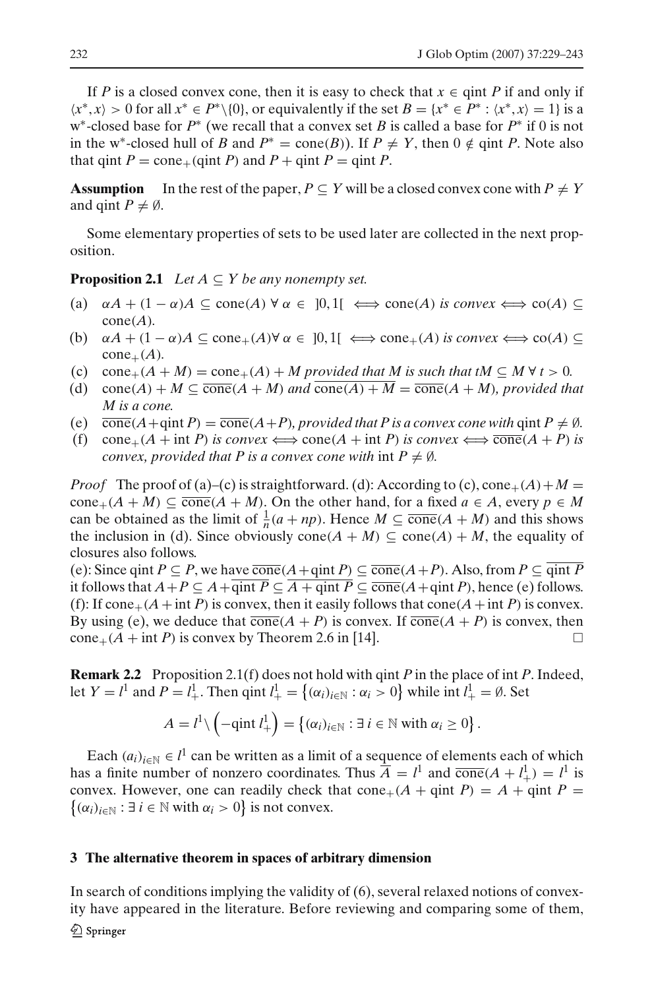If *P* is a closed convex cone, then it is easy to check that  $x \in \text{qint } P$  if and only if  $\langle x^*, x \rangle > 0$  for all  $x^* \in P^* \setminus \{0\}$ , or equivalently if the set  $B = \{x^* \in P^* : \langle x^*, x \rangle = 1\}$  is a w∗-closed base for *P*<sup>∗</sup> (we recall that a convex set *B* is called a base for *P*<sup>∗</sup> if 0 is not in the w<sup>∗</sup>-closed hull of *B* and  $P^* = \text{cone}(B)$ ). If  $P \neq Y$ , then  $0 \notin \text{qint } P$ . Note also that qint  $P = \text{cone}_{+}(\text{qint } P)$  and  $P + \text{qint } P = \text{qint } P$ .

**Assumption** In the rest of the paper,  $P \subseteq Y$  will be a closed convex cone with  $P \neq Y$ and qint  $P \neq \emptyset$ .

<span id="page-3-0"></span>Some elementary properties of sets to be used later are collected in the next proposition.

**Proposition 2.1** *Let*  $A \subseteq Y$  *be any nonempty set.* 

- (a)  $\alpha A + (1 \alpha)A \subseteq \text{cone}(A) \forall \alpha \in [0,1] \iff \text{cone}(A) \text{ is convex} \iff \text{co}(A) \subseteq$  $cone(A)$ .
- (b)  $\alpha A + (1 \alpha)A \subseteq \text{cone}_{+}(A) \forall \alpha \in [0,1] \iff \text{cone}_{+}(A) \text{ is convex} \iff \text{co}(A) \subseteq$  $cone_{+}(A)$ .
- (c) cone<sub>+</sub>( $A + M$ ) = cone<sub>+</sub>( $A$ ) + *M* provided that *M* is such that tM  $\subseteq M \forall t > 0$ .
- (d) cone(*A*) + *M*  $\subseteq$  cone(*A* + *M*) *and* cone(*A*) + *M*  $=$  cone(*A* + *M*)*, provided that M is a cone.*
- (e)  $\overline{\text{cone}}(A+\text{qint }P) = \overline{\text{cone}}(A+P)$ *, provided that P is a convex cone with*  $\text{qint }P \neq \emptyset$ *.*
- (f) cone<sub>+</sub>( $A$  + int *P*) *is convex*  $\Longleftrightarrow$  cone( $A$  + int *P*) *is convex*  $\Longleftrightarrow$  cone( $A$  + *P*) *is convex, provided that P* is a convex cone with int  $P \neq \emptyset$ .

*Proof* The proof of (a)–(c) is straightforward. (d): According to (c),  $cone_{+}(A) + M =$  $cone_{+}(A + M) \subseteq \overline{cone}(A + M)$ . On the other hand, for a fixed  $a \in A$ , every  $p \in M$ can be obtained as the limit of  $\frac{1}{n}(a + np)$ . Hence  $M \subseteq \overline{\text{cone}}(A + M)$  and this shows the inclusion in (d). Since obviously cone( $A + M$ )  $\subseteq$  cone( $A$ ) +  $M$ , the equality of closures also follows.

(e): Since qint *P* ⊆ *P*, we have  $\overline{\text{cone}}(A + \text{qint } P)$  ⊆  $\overline{\text{cone}}(A + P)$ . Also, from *P* ⊆  $\overline{\text{qint } P}$ it follows that  $A + P \subseteq A + \overline{\text{qint } P} \subseteq \overline{A + \text{qint } P} \subseteq \overline{\text{cone}}(A + \text{qint } P)$ , hence (e) follows. (f): If cone<sub>+</sub>( $A$ +int *P*) is convex, then it easily follows that cone( $A$ +int *P*) is convex. By using (e), we deduce that  $\overline{\text{cone}}(A + P)$  is convex. If  $\overline{\text{cone}}(A + P)$  is convex, then  $cone_{+}(A + int P)$  is convex by Theorem 2.6 in [14].

**Remark 2.2** Proposition [2.1\(](#page-3-0)f) does not hold with qint *P* in the place of int *P*. Indeed, let  $Y = l^1$  and  $P = l^1_+$ . Then  $\text{qint } l^1_+ = \{(\alpha_i)_{i \in \mathbb{N}} : \alpha_i > 0\}$  while int  $l^1_+ = \emptyset$ . Set

$$
A = l^{1} \setminus \left(-\text{qint } l^{1}_{+}\right) = \left\{(\alpha_{i})_{i \in \mathbb{N}} : \exists i \in \mathbb{N} \text{ with } \alpha_{i} \geq 0\right\}.
$$

Each  $(a_i)_{i \in \mathbb{N}} \in l^1$  can be written as a limit of a sequence of elements each of which has a finite number of nonzero coordinates. Thus  $\overline{A} = l^1$  and  $\overline{\text{cone}}(A + l^1) = l^1$  is convex. However, one can readily check that cone<sub>+</sub>( $A$  + qint  $P$ ) =  $A$  + qint  $P$  =  $\{(\alpha_i)_{i \in \mathbb{N}} : \exists i \in \mathbb{N} \text{ with } \alpha_i > 0\} \text{ is not convex.}$ 

#### **3 The alternative theorem in spaces of arbitrary dimension**

In search of conditions implying the validity of [\(6\)](#page-1-2), several relaxed notions of convexity have appeared in the literature. Before reviewing and comparing some of them,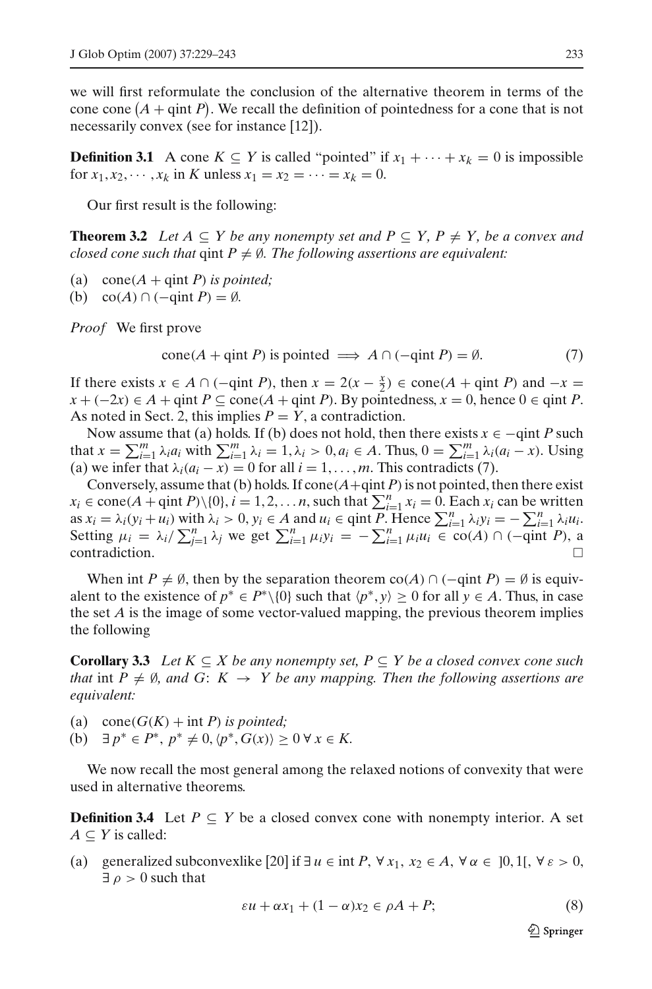we will first reformulate the conclusion of the alternative theorem in terms of the cone cone  $(A + \text{qint } P)$ . We recall the definition of pointedness for a cone that is not necessarily convex (see for instance [12]).

**Definition 3.1** A cone  $K \subseteq Y$  is called "pointed" if  $x_1 + \cdots + x_k = 0$  is impossible for  $x_1, x_2, \dots, x_k$  in *K* unless  $x_1 = x_2 = \dots = x_k = 0$ .

Our first result is the following:

<span id="page-4-3"></span>**Theorem 3.2** *Let*  $A \subseteq Y$  *be any nonempty set and*  $P \subseteq Y$ ,  $P \neq Y$ , *be a convex and closed cone such that*  $qint P \neq \emptyset$ . The following assertions are equivalent:

- (a)  $cone(A + qint P)$  *is pointed*;
- (b)  $\operatorname{co}(A) \cap (-\operatorname{qint} P) = \emptyset$ *.*

<span id="page-4-0"></span>*Proof* We first prove

$$
cone(A + qint P) \text{ is pointed} \implies A \cap (-qint P) = \emptyset. \tag{7}
$$

If there exists  $x \in A \cap (-\text{qint } P)$ , then  $x = 2(x - \frac{x}{2}) \in \text{cone}(A + \text{qint } P)$  and  $-x =$ *x* + (−2*x*) ∈ *A* + qint *P* ⊆ cone(*A* + qint *P*). By pointedness, *x* = 0, hence 0 ∈ qint *P*. As noted in Sect. 2, this implies  $P = Y$ , a contradiction.

Now assume that (a) holds. If (b) does not hold, then there exists  $x \in -qint$  *P* such that  $x = \sum_{i=1}^{m} \lambda_i a_i$  with  $\sum_{i=1}^{m} \lambda_i = 1, \lambda_i > 0, a_i \in A$ . Thus,  $0 = \sum_{i=1}^{m} \lambda_i (a_i - x)$ . Using (a) we infer that  $\lambda_i(a_i - x) = 0$  for all  $i = 1, \ldots, m$ . This contradicts [\(7\)](#page-4-0).

Conversely, assume that (b) holds. If cone  $(A + \text{qint } P)$  is not pointed, then there exist  $x_i \in \text{cone}(A + \text{qint } P) \setminus \{0\}, i = 1, 2, \dots n$ , such that  $\sum_{i=1}^{n} x_i = 0$ . Each  $x_i$  can be written as  $x_i = \lambda_i (y_i + u_i)$  with  $\lambda_i > 0$ ,  $y_i \in A$  and  $u_i \in \text{qint } P$ . Hence  $\sum_{i=1}^n \lambda_i y_i = -\sum_{i=1}^n \lambda_i u_i$ . Setting  $\mu_i = \lambda_i / \sum_{j=1}^n \lambda_j$  we get  $\sum_{i=1}^n \mu_i y_i = -\sum_{i=1}^n \mu_i u_i \in \text{co}(A) \cap (-\text{qint }P)$ , a  $\Box$ contradiction.  $\Box$ 

When int  $P \neq \emptyset$ , then by the separation theorem co(*A*) ∩ ( $\text{-qint } P$ ) =  $\emptyset$  is equivalent to the existence of  $p^* \in P^* \setminus \{0\}$  such that  $\langle p^*, y \rangle \geq 0$  for all  $y \in A$ . Thus, in case the set *A* is the image of some vector-valued mapping, the previous theorem implies the following

<span id="page-4-4"></span>**Corollary 3.3** *Let*  $K \subseteq X$  *be any nonempty set,*  $P \subseteq Y$  *be a closed convex cone such that* int  $P \neq \emptyset$ *, and*  $G: K \rightarrow Y$  *be any mapping. Then the following assertions are equivalent:*

(a) cone( $G(K)$  + int *P*) *is pointed*; (b)  $\exists p^* \in P^*, p^* \neq 0, \langle p^*, G(x) \rangle \geq 0 \,\forall x \in K.$ 

<span id="page-4-2"></span>We now recall the most general among the relaxed notions of convexity that were used in alternative theorems.

**Definition 3.4** Let  $P \subseteq Y$  be a closed convex cone with nonempty interior. A set  $A \subseteq Y$  is called:

<span id="page-4-1"></span>(a) generalized subconvexlike [20] if  $\exists u \in \text{int } P$ ,  $\forall x_1, x_2 \in A$ ,  $\forall \alpha \in [0,1[$ ,  $\forall \epsilon > 0$ ,  $\exists \rho > 0$  such that

$$
\varepsilon u + \alpha x_1 + (1 - \alpha)x_2 \in \rho A + P; \tag{8}
$$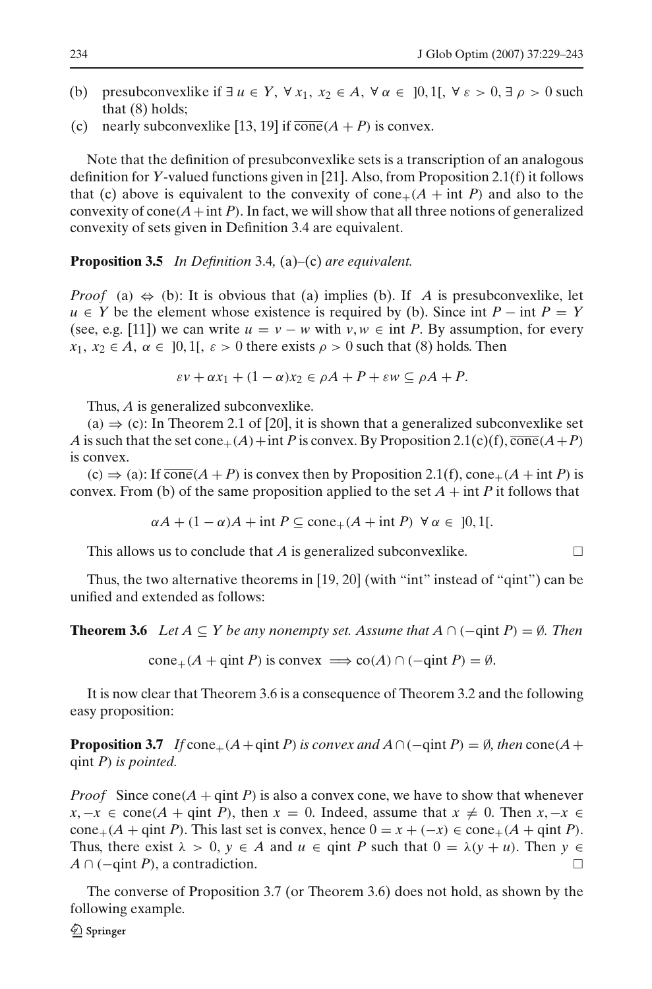- (b) presubconvexlike if  $\exists u \in Y$ ,  $\forall x_1, x_2 \in A$ ,  $\forall \alpha \in [0,1[$ ,  $\forall \varepsilon > 0$ ,  $\exists \rho > 0$  such that [\(8\)](#page-4-1) holds;
- (c) nearly subconvexlike [13, 19] if  $\overline{\text{cone}}(A + P)$  is convex.

Note that the definition of presubconvexlike sets is a transcription of an analogous definition for *Y*-valued functions given in [21]. Also, from Proposition [2.1\(](#page-3-0)f) it follows that (c) above is equivalent to the convexity of cone<sub>+</sub> $(A + int P)$  and also to the convexity of cone  $(A + \text{int } P)$ . In fact, we will show that all three notions of generalized convexity of sets given in Definition [3.4](#page-4-2) are equivalent.

<span id="page-5-2"></span>**Proposition 3.5** *In Definition* [3.4](#page-4-2)*,* (a)–(c) *are equivalent.*

*Proof* (a)  $\Leftrightarrow$  (b): It is obvious that (a) implies (b). If *A* is presubconvexlike, let *u* ∈ *Y* be the element whose existence is required by (b). Since int  $P - \text{int } P = Y$ (see, e.g. [11]) we can write  $u = v - w$  with  $v, w \in \text{int } P$ . By assumption, for every  $x_1, x_2 \in A$ ,  $\alpha \in [0, 1]$ ,  $\varepsilon > 0$  there exists  $\rho > 0$  such that [\(8\)](#page-4-1) holds. Then

$$
\varepsilon v + \alpha x_1 + (1 - \alpha)x_2 \in \rho A + P + \varepsilon w \subseteq \rho A + P.
$$

Thus, *A* is generalized subconvexlike.

(a)  $\Rightarrow$  (c): In Theorem 2.1 of [20], it is shown that a generalized subconvexlike set *A* is such that the set cone<sub>+</sub>(*A*)+int *P* is convex. By Proposition [2.1\(](#page-3-0)c)(f),  $\overline{\text{cone}}(A+P)$ is convex.

 $(c) \Rightarrow (a)$ : If  $\overline{\text{cone}}(A + P)$  is convex then by Proposition [2.1\(](#page-3-0)f),  $\text{cone}_+(A + \text{int } P)$  is convex. From (b) of the same proposition applied to the set  $A + \text{int } P$  it follows that

$$
\alpha A + (1 - \alpha)A + \text{int } P \subseteq \text{cone}_+(A + \text{int } P) \ \forall \alpha \in ]0,1[.
$$

This allows us to conclude that *A* is generalized subconvexlike.

<span id="page-5-0"></span>Thus, the two alternative theorems in [19, 20] (with "int" instead of "qint") can be unified and extended as follows:

**Theorem 3.6** *Let*  $A \subseteq Y$  *be any nonempty set. Assume that*  $A \cap (-qint P) = \emptyset$ *. Then* 

 $cone_{+}(A + \text{qint } P)$  is convex  $\implies$  co(*A*) ∩ ( $-\text{qint } P$ ) = Ø.

<span id="page-5-1"></span>It is now clear that Theorem [3.6](#page-5-0) is a consequence of Theorem [3.2](#page-4-3) and the following easy proposition:

**Proposition 3.7** *If* cone<sub>+</sub>( $A$ +qint *P*) *is convex and*  $A \cap (-qint P) = \emptyset$ *, then* cone( $A$ + qint *P*) *is pointed.*

*Proof* Since cone( $A$  + qint *P*) is also a convex cone, we have to show that whenever *x*, −*x* ∈ cone(*A* + qint *P*), then *x* = 0. Indeed, assume that  $x \neq 0$ . Then  $x, -x \in$ cone<sub>+</sub>( $A$  + qint *P*). This last set is convex, hence  $0 = x + (-x) \in \text{cone}_+(A + \text{qint }P)$ . Thus, there exist  $\lambda > 0$ ,  $y \in A$  and  $u \in \text{qint } P$  such that  $0 = \lambda(y + u)$ . Then  $y \in A$ *A* ∩ (−qint *P*), a contradiction.

The converse of Proposition [3.7](#page-5-1) (or Theorem [3.6\)](#page-5-0) does not hold, as shown by the following example.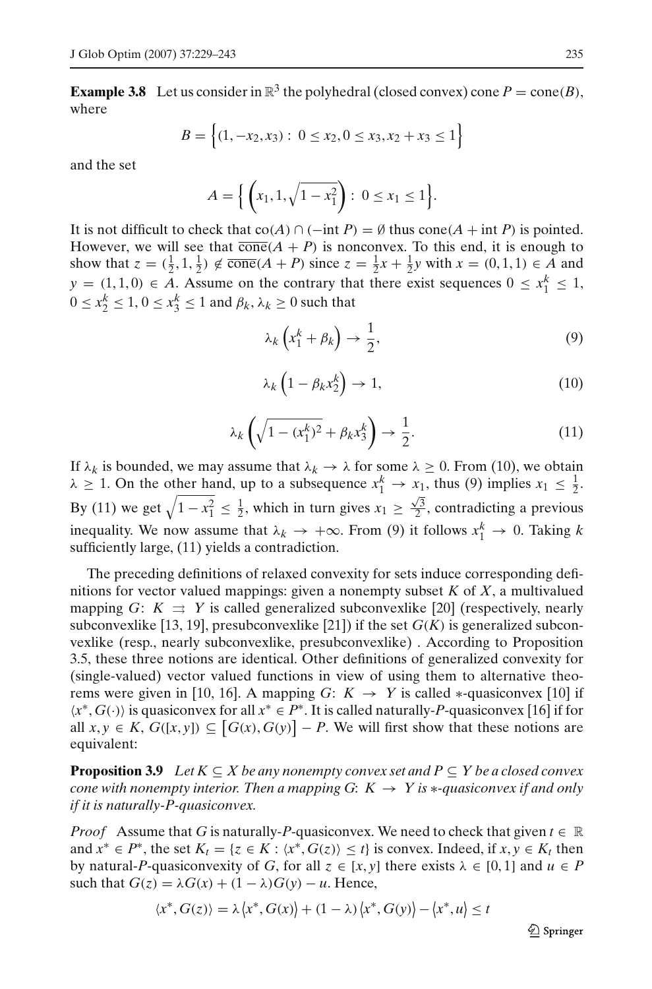**Example 3.8** Let us consider in  $\mathbb{R}^3$  the polyhedral (closed convex) cone  $P = \text{cone}(B)$ , where

$$
B = \left\{ (1, -x_2, x_3) : 0 \le x_2, 0 \le x_3, x_2 + x_3 \le 1 \right\}
$$

and the set

$$
A = \left\{ \left( x_1, 1, \sqrt{1 - x_1^2} \right) : 0 \le x_1 \le 1 \right\}.
$$

It is not difficult to check that  $co(A) \cap (-int P) = \emptyset$  thus  $cone(A + int P)$  is pointed. However, we will see that  $\overline{\text{cone}}(A + P)$  is nonconvex. To this end, it is enough to show that  $z = (\frac{1}{2}, 1, \frac{1}{2}) \notin \overline{\text{cone}}(A + P)$  since  $z = \frac{1}{2}x + \frac{1}{2}y$  with  $x = (0, 1, 1) \in A$  and  $y = (1, 1, 0) \in A$ . Assume on the contrary that there exist sequences  $0 \le x_1^k \le 1$ ,  $0 \le x_2^k \le 1, 0 \le x_3^k \le 1$  and  $\beta_k, \lambda_k \ge 0$  such that

<span id="page-6-1"></span>
$$
\lambda_k \left( x_1^k + \beta_k \right) \to \frac{1}{2},\tag{9}
$$

$$
\lambda_k \left( 1 - \beta_k x_2^k \right) \to 1,\tag{10}
$$

<span id="page-6-0"></span>
$$
\lambda_k \left( \sqrt{1 - (x_1^k)^2} + \beta_k x_3^k \right) \to \frac{1}{2}.
$$
\n(11)

<span id="page-6-2"></span>If  $\lambda_k$  is bounded, we may assume that  $\lambda_k \to \lambda$  for some  $\lambda \geq 0$ . From [\(10\)](#page-6-0), we obtain  $\lambda \geq 1$ . On the other hand, up to a subsequence  $x_1^k \to x_1$ , thus [\(9\)](#page-6-1) implies  $x_1 \leq \frac{1}{2}$ . By [\(11\)](#page-6-2) we get  $\sqrt{1-x_1^2} \le \frac{1}{2}$ , which in turn gives  $x_1 \ge \frac{\sqrt{3}}{2}$ , contradicting a previous inequality. We now assume that  $\lambda_k \to +\infty$ . From [\(9\)](#page-6-1) it follows  $x_1^k \to 0$ . Taking *k* sufficiently large, [\(11\)](#page-6-2) yields a contradiction.

The preceding definitions of relaxed convexity for sets induce corresponding definitions for vector valued mappings: given a nonempty subset *K* of *X*, a multivalued mapping *G*:  $K \Rightarrow Y$  is called generalized subconvexlike [20] (respectively, nearly subconvexlike [13, 19], presubconvexlike [21]) if the set  $G(K)$  is generalized subconvexlike (resp., nearly subconvexlike, presubconvexlike) . According to Proposition [3.5,](#page-5-2) these three notions are identical. Other definitions of generalized convexity for (single-valued) vector valued functions in view of using them to alternative theorems were given in [10, 16]. A mapping *G*:  $K \rightarrow Y$  is called  $*$ -quasiconvex [10] if *x*∗, *G*(·) is quasiconvex for all *x*<sup>∗</sup> ∈ *P*∗. It is called naturally-*P*-quasiconvex [16] if for all  $x, y \in K$ ,  $G([x, y]) \subseteq [G(x), G(y)] - P$ . We will first show that these notions are equivalent:

**Proposition 3.9** *Let*  $K \subseteq X$  *be any nonempty convex set and*  $P \subseteq Y$  *be a closed convex cone with nonempty interior. Then a mapping G:*  $K \rightarrow Y$  *is*  $*$ *-quasiconvex if and only if it is naturally-P-quasiconvex.*

*Proof* Assume that *G* is naturally-*P*-quasiconvex. We need to check that given  $t \in \mathbb{R}$ and  $x^* \in P^*$ , the set  $K_t = \{z \in K : \langle x^*, G(z) \rangle \leq t\}$  is convex. Indeed, if  $x, y \in K_t$  then by natural-*P*-quasiconvexity of *G*, for all  $z \in [x, y]$  there exists  $\lambda \in [0, 1]$  and  $u \in P$ such that  $G(z) = \lambda G(x) + (1 - \lambda)G(y) - u$ . Hence,

$$
\langle x^*, G(z) \rangle = \lambda \langle x^*, G(x) \rangle + (1 - \lambda) \langle x^*, G(y) \rangle - \langle x^*, u \rangle \le t
$$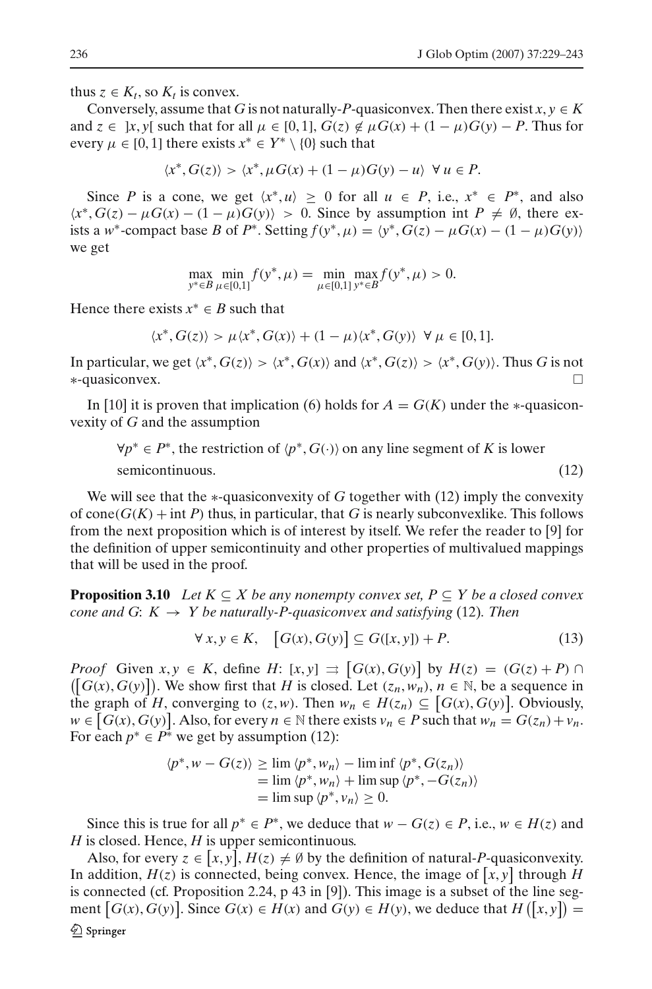thus  $z \in K_t$ , so  $K_t$  is convex.

Conversely, assume that *G* is not naturally-*P*-quasiconvex. Then there exist  $x, y \in K$ and  $z \in [x, y]$  such that for all  $\mu \in [0, 1]$ ,  $G(z) \notin \mu G(x) + (1 - \mu)G(y) - P$ . Thus for every  $\mu \in [0, 1]$  there exists  $x^* \in Y^* \setminus \{0\}$  such that

$$
\langle x^*, G(z) \rangle > \langle x^*, \mu G(x) + (1 - \mu)G(y) - u \rangle \ \forall \ u \in P.
$$

Since *P* is a cone, we get  $\langle x^*, u \rangle \geq 0$  for all  $u \in P$ , i.e.,  $x^* \in P^*$ , and also  $\langle x^*, G(z) - \mu G(x) - (1 - \mu) G(y) \rangle > 0$ . Since by assumption int  $P \neq \emptyset$ , there exists a *w*<sup>∗</sup>-compact base *B* of *P*<sup>∗</sup>. Setting  $f(y^*, \mu) = \langle y^*, G(z) - \mu G(x) - (1 - \mu)G(y) \rangle$ we get

$$
\max_{y^* \in B} \min_{\mu \in [0,1]} f(y^*, \mu) = \min_{\mu \in [0,1]} \max_{y^* \in B} f(y^*, \mu) > 0.
$$

Hence there exists  $x^* \in B$  such that

$$
\langle x^*, G(z) \rangle > \mu \langle x^*, G(x) \rangle + (1 - \mu) \langle x^*, G(y) \rangle \ \forall \mu \in [0, 1].
$$

In particular, we get  $\langle x^*, G(z) \rangle > \langle x^*, G(x) \rangle$  and  $\langle x^*, G(z) \rangle > \langle x^*, G(y) \rangle$ . Thus *G* is not ∗-quasiconvex.

<span id="page-7-0"></span>In [10] it is proven that implication [\(6\)](#page-1-2) holds for  $A = G(K)$  under the  $*$ -quasiconvexity of *G* and the assumption

 $∀p^* ∈ P^*$ , the restriction of  $(p^*, G(·))$  on any line segment of *K* is lower semicontinuous. (12)

We will see that the ∗-quasiconvexity of *G* together with [\(12\)](#page-7-0) imply the convexity of cone( $G(K)$  + int *P*) thus, in particular, that *G* is nearly subconvexlike. This follows from the next proposition which is of interest by itself. We refer the reader to [9] for the definition of upper semicontinuity and other properties of multivalued mappings that will be used in the proof.

**Proposition 3.10** *Let*  $K \subseteq X$  *be any nonempty convex set,*  $P \subseteq Y$  *be a closed convex cone and G:*  $K \rightarrow Y$  *be naturally-P-quasiconvex and satisfying* [\(12\)](#page-7-0)*. Then* 

$$
\forall x, y \in K, \quad [G(x), G(y)] \subseteq G([x, y]) + P. \tag{13}
$$

<span id="page-7-1"></span>*Proof* Given  $x, y \in K$ , define  $H: [x, y] \implies [G(x), G(y)]$  by  $H(z) = (G(z) + P) \cap$  $([G(x), G(y)])$ . We show first that *H* is closed. Let  $(z_n, w_n)$ ,  $n \in \mathbb{N}$ , be a sequence in the graph of *H*, converging to  $(z, w)$ . Then  $w_n \in H(z_n) \subseteq [G(x), G(y)]$ . Obviously,  $w \in [G(x), G(y)]$ . Also, for every  $n \in \mathbb{N}$  there exists  $v_n \in P$  such that  $w_n = G(z_n) + v_n$ . For each  $p^* \in P^*$  we get by assumption [\(12\)](#page-7-0):

$$
\langle p^*, w - G(z) \rangle \ge \lim \langle p^*, w_n \rangle - \lim \inf \langle p^*, G(z_n) \rangle
$$
  
=  $\lim \langle p^*, w_n \rangle + \lim \sup \langle p^*, -G(z_n) \rangle$   
=  $\lim \sup \langle p^*, v_n \rangle \ge 0$ .

Since this is true for all  $p^* \in P^*$ , we deduce that  $w - G(z) \in P$ , i.e.,  $w \in H(z)$  and *H* is closed. Hence, *H* is upper semicontinuous.

Also, for every  $z \in [x, y]$ ,  $H(z) \neq \emptyset$  by the definition of natural-*P*-quasiconvexity. In addition,  $H(z)$  is connected, being convex. Hence, the image of  $[x, y]$  through H is connected (cf. Proposition 2.24, p 43 in [9]). This image is a subset of the line segment  $[G(x), G(y)]$ . Since  $G(x) \in H(x)$  and  $G(y) \in H(y)$ , we deduce that  $H([x, y]) =$  $\mathcal{Q}$  Springer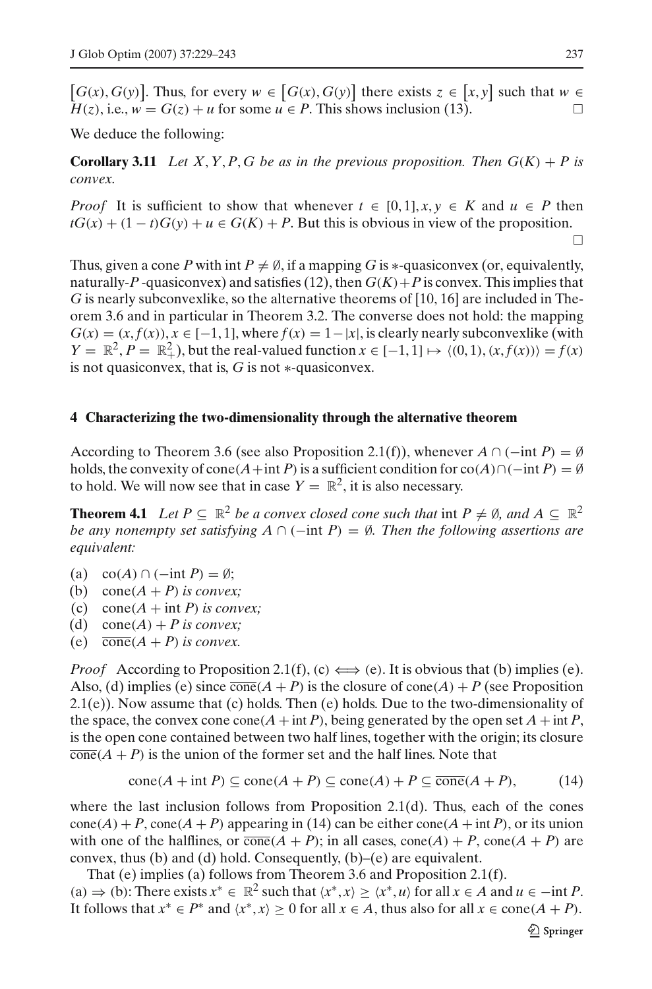$[G(x), G(y)]$ . Thus, for every  $w \in [G(x), G(y)]$  there exists  $z \in [x, y]$  such that  $w \in$  $H(z)$ , i.e.,  $w = G(z) + u$  for some  $u \in P$ . This shows inclusion [\(13\)](#page-7-1).

We deduce the following:

**Corollary 3.11** Let X, Y, P, G be as in the previous proposition. Then  $G(K) + P$  is *convex.*

*Proof* It is sufficient to show that whenever  $t \in [0, 1]$ ,  $x, y \in K$  and  $u \in P$  then  $tG(x) + (1 - t)G(y) + u \in G(K) + P$ . But this is obvious in view of the proposition.

 $\Box$ 

Thus, given a cone *P* with int  $P \neq \emptyset$ , if a mapping *G* is \*-quasiconvex (or, equivalently, naturally-P-quasiconvex) and satisfies [\(12\)](#page-7-0), then  $G(K) + P$  is convex. This implies that *G* is nearly subconvexlike, so the alternative theorems of [10, 16] are included in Theorem [3.6](#page-5-0) and in particular in Theorem [3.2.](#page-4-3) The converse does not hold: the mapping  $G(x) = (x, f(x)), x \in [-1, 1],$  where  $f(x) = 1 - |x|$ , is clearly nearly subconvexlike (with  $Y = \mathbb{R}^2$ ,  $P = \mathbb{R}^2_+$ ), but the real-valued function  $x \in [-1, 1] \mapsto \langle (0, 1), (x, f(x)) \rangle = f(x)$ is not quasiconvex, that is, *G* is not ∗-quasiconvex.

### **4 Characterizing the two-dimensionality through the alternative theorem**

According to Theorem [3.6](#page-5-0) (see also Proposition [2.1\(](#page-3-0)f)), whenever  $A \cap (-\text{int } P) = \emptyset$ holds, the convexity of cone( $A$ +int *P*) is a sufficient condition for co( $A$ )∩(−int *P*) = Ø to hold. We will now see that in case  $Y = \mathbb{R}^2$ , it is also necessary.

<span id="page-8-1"></span>**Theorem 4.1** Let  $P \subseteq \mathbb{R}^2$  be a convex closed cone such that int  $P \neq \emptyset$ , and  $A \subseteq \mathbb{R}^2$ *be any nonempty set satisfying A* ∩ (−int *P*) =  $\emptyset$ *. Then the following assertions are equivalent:*

(a) co( $A$ ) ∩ (-int  $P$ ) = Ø;

- (b) cone $(A + P)$  *is convex*;
- (c) cone( $A$  + int *P*) *is convex*;
- (d) cone( $A$ ) + *P* is convex;
- (e)  $\overline{\text{cone}}(A + P)$  *is convex.*

*Proof* According to Proposition [2.1\(](#page-3-0)f), (c)  $\Longleftrightarrow$  (e). It is obvious that (b) implies (e). Also, (d) implies (e) since  $\overline{\text{cone}}(A + P)$  is the closure of  $\text{cone}(A) + P$  (see Proposition  $2.1(e)$  $2.1(e)$ ). Now assume that (c) holds. Then (e) holds. Due to the two-dimensionality of the space, the convex cone cone( $A$  + int  $P$ ), being generated by the open set  $A$  + int  $P$ , is the open cone contained between two half lines, together with the origin; its closure  $\overline{\text{cone}}(A + P)$  is the union of the former set and the half lines. Note that

$$
cone(A + int P) \subseteq cone(A + P) \subseteq cone(A) + P \subseteq \overline{cone}(A + P),
$$
 (14)

<span id="page-8-0"></span>where the last inclusion follows from Proposition [2.1\(](#page-3-0)d). Thus, each of the cones  $cone(A) + P$ ,  $cone(A + P)$  appearing in [\(14\)](#page-8-0) can be either cone( $A + int P$ ), or its union with one of the halflines, or  $\overline{\text{cone}}(A + P)$ ; in all cases,  $\text{cone}(A) + P$ ,  $\text{cone}(A + P)$  are convex, thus  $(b)$  and  $(d)$  hold. Consequently,  $(b)$ – $(e)$  are equivalent.

That (e) implies (a) follows from Theorem [3.6](#page-5-0) and Proposition [2.1\(](#page-3-0)f). (a)  $\Rightarrow$  (b): There exists  $x^* \in \mathbb{R}^2$  such that  $\langle x^*, x \rangle \ge \langle x^*, u \rangle$  for all  $x \in A$  and  $u \in -\text{int } P$ . It follows that  $x^* \in P^*$  and  $\langle x^*, x \rangle \ge 0$  for all  $x \in A$ , thus also for all  $x \in \text{cone}(A + P)$ .

 $\mathcal{Q}$  Springer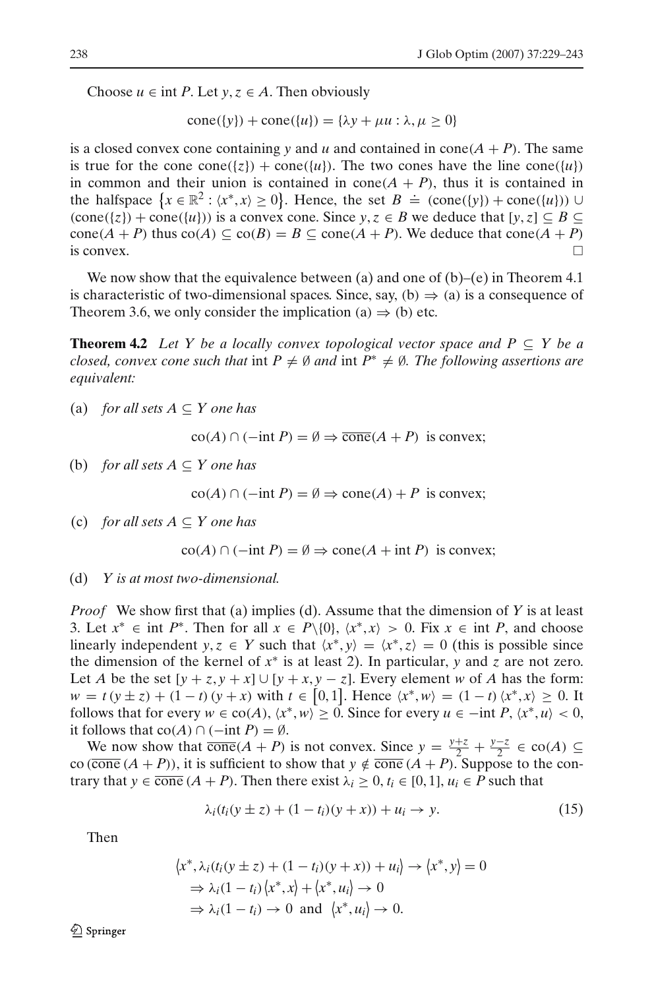Choose  $u \in \text{int } P$ . Let  $y, z \in A$ . Then obviously

$$
cone({y}) + cone({u}) = {\lambda y + \mu u : \lambda, \mu \ge 0}
$$

is a closed convex cone containing *y* and *u* and contained in cone( $A + P$ ). The same is true for the cone cone({*z*}) + cone({*u*}). The two cones have the line cone({*u*}) in common and their union is contained in  $cone(A + P)$ , thus it is contained in the halfspace  $\{x \in \mathbb{R}^2 : \langle x^*, x \rangle \ge 0\}$ . Hence, the set  $B \doteq (\text{cone}(\{y\}) + \text{cone}(\{u\})) \cup$  $(\text{cone}(\{z\}) + \text{cone}(\{u\}))$  is a convex cone. Since  $y, z \in B$  we deduce that  $[y, z] \subseteq B \subseteq B$ cone( $A + P$ ) thus co( $A$ )  $\subseteq$  co( $B$ ) =  $B \subseteq$  cone( $A + P$ ). We deduce that cone( $A + P$ ) is convex.  $\Box$ 

We now show that the equivalence between (a) and one of  $(b)$ –(e) in Theorem [4.1](#page-8-1) is characteristic of two-dimensional spaces. Since, say, (b)  $\Rightarrow$  (a) is a consequence of Theorem [3.6,](#page-5-0) we only consider the implication (a)  $\Rightarrow$  (b) etc.

<span id="page-9-1"></span>**Theorem 4.2** *Let Y be a locally convex topological vector space and P*  $\subseteq$  *Y be a closed, convex cone such that* int  $P \neq \emptyset$  *and* int  $P^* \neq \emptyset$ *. The following assertions are equivalent:*

(a) *for all sets*  $A \subseteq Y$  *one has* 

 $\operatorname{co}(A) \cap (-\text{int } P) = ∅ \Rightarrow \overline{\operatorname{cone}}(A + P)$  is convex;

(b) *for all sets*  $A \subseteq Y$  *one has* 

 $\operatorname{co}(A) \cap (-\text{int } P) = \emptyset \Rightarrow \operatorname{cone}(A) + P$  is convex;

(c) *for all sets*  $A \subseteq Y$  *one has* 

$$
co(A) \cap (-int P) = \emptyset \Rightarrow cone(A + int P) \text{ is convex};
$$

(d) *Y is at most two-dimensional.*

*Proof* We show first that (a) implies (d). Assume that the dimension of *Y* is at least 3. Let  $x^*$  ∈ int  $P^*$ . Then for all  $x \in P \setminus \{0\}$ ,  $\langle x^*, x \rangle > 0$ . Fix  $x \in \text{int } P$ , and choose linearly independent *y*,  $z \in Y$  such that  $\langle x^*, y \rangle = \langle x^*, z \rangle = 0$  (this is possible since the dimension of the kernel of *x*<sup>∗</sup> is at least 2). In particular, *y* and *z* are not zero. Let *A* be the set  $[y + z, y + x] \cup [y + x, y - z]$ . Every element *w* of *A* has the form:  $w = t (y \pm z) + (1 - t) (y + x)$  with  $t \in [0, 1]$ . Hence  $\langle x^*, w \rangle = (1 - t) \langle x^*, x \rangle \ge 0$ . It follows that for every  $w \in \text{co}(A)$ ,  $\langle x^*, w \rangle \ge 0$ . Since for every  $u \in -\text{int } P$ ,  $\langle x^*, u \rangle < 0$ , it follows that  $co(A) \cap (-int P) = \emptyset$ .

We now show that  $\overline{\text{cone}}(A + P)$  is not convex. Since  $y = \frac{y+z}{2} + \frac{y-z}{2} \in \text{co}(A) \subseteq$ co (cone  $(A + P)$ ), it is sufficient to show that  $y \notin \overline{cone}(A + P)$ . Suppose to the contrary that  $y \in \overline{\text{cone}} (A + P)$ . Then there exist  $\lambda_i \geq 0, t_i \in [0, 1], u_i \in P$  such that

$$
\lambda_i(t_i(y \pm z) + (1 - t_i)(y + x)) + u_i \rightarrow y. \tag{15}
$$

<span id="page-9-0"></span>Then

$$
\langle x^*, \lambda_i(t_i(y \pm z) + (1 - t_i)(y + x)) + u_i \rangle \to \langle x^*, y \rangle = 0
$$
  
\n
$$
\Rightarrow \lambda_i(1 - t_i) \langle x^*, x \rangle + \langle x^*, u_i \rangle \to 0
$$
  
\n
$$
\Rightarrow \lambda_i(1 - t_i) \to 0 \text{ and } \langle x^*, u_i \rangle \to 0.
$$

*<sup></sub>* Springer</sup>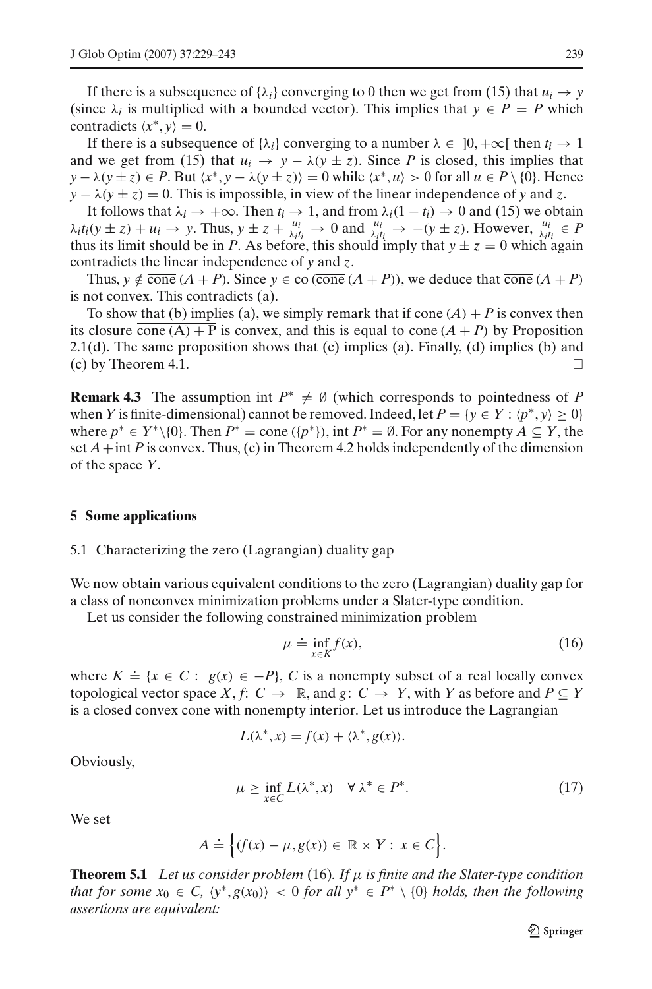If there is a subsequence of  $\{\lambda_i\}$  converging to 0 then we get from [\(15\)](#page-9-0) that  $u_i \to y$ (since  $\lambda_i$  is multiplied with a bounded vector). This implies that  $y \in \overline{P} = P$  which contradicts  $\langle x^*, y \rangle = 0$ .

If there is a subsequence of  $\{\lambda_i\}$  converging to a number  $\lambda \in [0, +\infty[$  then  $t_i \to 1]$ and we get from [\(15\)](#page-9-0) that  $u_i \rightarrow y - \lambda(y \pm z)$ . Since *P* is closed, this implies that  $y - \lambda (y \pm z) \in P$ . But  $\langle x^*, y - \lambda (y \pm z) \rangle = 0$  while  $\langle x^*, u \rangle > 0$  for all  $u \in P \setminus \{0\}$ . Hence  $y - \lambda (y \pm z) = 0$ . This is impossible, in view of the linear independence of *y* and *z*.

It follows that  $\lambda_i \to +\infty$ . Then  $t_i \to 1$ , and from  $\lambda_i(1 - t_i) \to 0$  and [\(15\)](#page-9-0) we obtain  $\lambda_i t_i(y \pm z) + u_i \rightarrow y$ . Thus,  $y \pm z + \frac{u_i}{\lambda_i t_i} \rightarrow 0$  and  $\frac{u_i}{\lambda_i t_i} \rightarrow -(y \pm z)$ . However,  $\frac{u_i}{\lambda_i t_i} \in P$ thus its limit should be in *P*. As before, this should imply that  $y \pm z = 0$  which again contradicts the linear independence of *y* and *z*.

Thus,  $y \notin \overline{\text{cone}}(A + P)$ . Since  $y \in \text{co}(\overline{\text{cone}}(A + P))$ , we deduce that  $\overline{\text{cone}}(A + P)$ is not convex. This contradicts (a).

To show that (b) implies (a), we simply remark that if cone  $(A) + P$  is convex then its closure cone  $(A) + P$  is convex, and this is equal to  $\overline{\text{cone}}(A + P)$  by Proposition  $2.1(d)$  $2.1(d)$ . The same proposition shows that (c) implies (a). Finally, (d) implies (b) and (c) by Theorem 4.1.

**Remark 4.3** The assumption int  $P^* \neq \emptyset$  (which corresponds to pointedness of P when *Y* is finite-dimensional) cannot be removed. Indeed, let  $P = \{y \in Y : \langle p^*, y \rangle \ge 0\}$ where  $p^* \in Y^* \setminus \{0\}$ . Then  $P^* = \text{cone } (\{p^*\})$ , int  $P^* = \emptyset$ . For any nonempty  $A \subseteq Y$ , the set  $A$  + int *P* is convex. Thus, (c) in Theorem [4.2](#page-9-1) holds independently of the dimension of the space *Y*.

#### **5 Some applications**

#### 5.1 Characterizing the zero (Lagrangian) duality gap

We now obtain various equivalent conditions to the zero (Lagrangian) duality gap for a class of nonconvex minimization problems under a Slater-type condition.

<span id="page-10-0"></span>Let us consider the following constrained minimization problem

$$
\mu \doteq \inf_{x \in K} f(x),\tag{16}
$$

where  $K \doteq \{x \in C : g(x) \in -P\}$ , *C* is a nonempty subset of a real locally convex topological vector space *X*, *f*:  $C \rightarrow \mathbb{R}$ , and  $g: C \rightarrow Y$ , with *Y* as before and  $P \subseteq Y$ is a closed convex cone with nonempty interior. Let us introduce the Lagrangian

$$
L(\lambda^*, x) = f(x) + \langle \lambda^*, g(x) \rangle.
$$

<span id="page-10-1"></span>Obviously,

$$
\mu \ge \inf_{x \in C} L(\lambda^*, x) \quad \forall \lambda^* \in P^*.
$$
 (17)

We set

$$
A = \Big\{ (f(x) - \mu, g(x)) \in \mathbb{R} \times Y : x \in C \Big\}.
$$

**Theorem 5.1** *Let us consider problem* [\(16\)](#page-10-0)*. If* µ *is finite and the Slater-type condition that for some*  $x_0 \in C$ ,  $\langle y^*, g(x_0) \rangle$  < 0 *for all*  $y^* \in P^* \setminus \{0\}$  *holds, then the following assertions are equivalent:*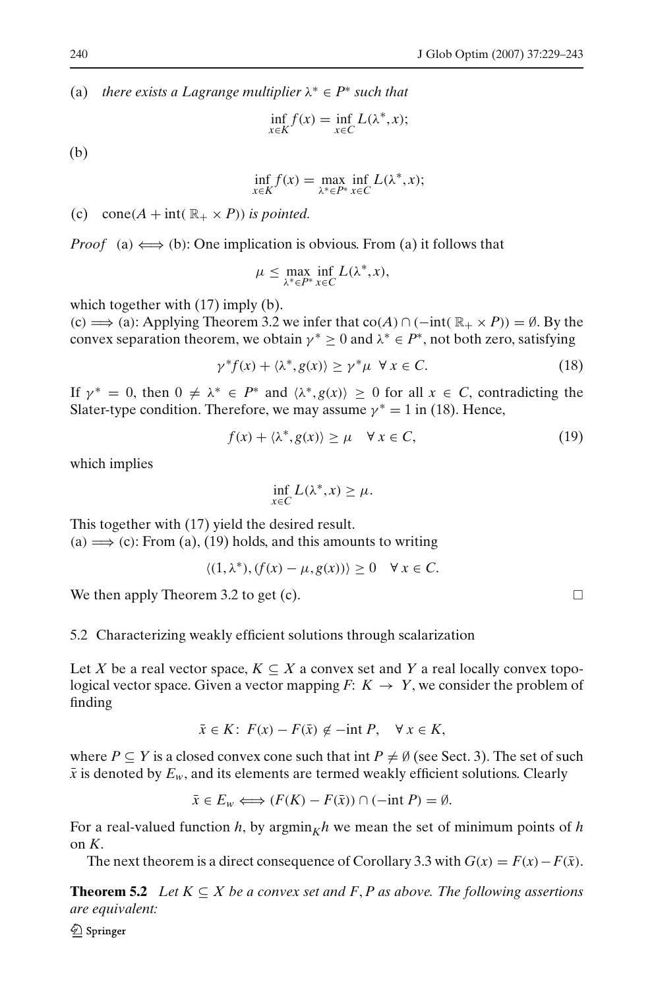(a) *there exists a Lagrange multiplier*  $\lambda^* \in P^*$  *such that* 

$$
\inf_{x \in K} f(x) = \inf_{x \in C} L(\lambda^*, x);
$$

(b)

$$
\inf_{x \in K} f(x) = \max_{\lambda^* \in P^*} \inf_{x \in C} L(\lambda^*, x);
$$

(c) cone( $A$  + int( $\mathbb{R}_+ \times P$ )) *is pointed.* 

*Proof* (a)  $\Longleftrightarrow$  (b): One implication is obvious. From (a) it follows that

$$
\mu \leq \max_{\lambda^* \in P^*} \inf_{x \in C} L(\lambda^*, x),
$$

which together with  $(17)$  imply  $(b)$ .

(c)  $\implies$  (a): Applying Theorem [3.2](#page-4-3) we infer that co(*A*) ∩ (−int( $\mathbb{R}_+ \times P$ )) = Ø. By the convex separation theorem, we obtain  $\gamma^* \geq 0$  and  $\lambda^* \in P^*$ , not both zero, satisfying

$$
\gamma^* f(x) + \langle \lambda^*, g(x) \rangle \ge \gamma^* \mu \ \forall \, x \in C. \tag{18}
$$

<span id="page-11-0"></span>If  $\gamma^* = 0$ , then  $0 \neq \lambda^* \in P^*$  and  $\langle \lambda^*, g(x) \rangle \geq 0$  for all  $x \in C$ , contradicting the Slater-type condition. Therefore, we may assume  $\gamma^* = 1$  in [\(18\)](#page-11-0). Hence,

$$
f(x) + \langle \lambda^*, g(x) \rangle \ge \mu \quad \forall \, x \in C,\tag{19}
$$

<span id="page-11-1"></span>which implies

$$
\inf_{x \in C} L(\lambda^*, x) \ge \mu.
$$

This together with [\(17\)](#page-10-1) yield the desired result. (a)  $\implies$  (c): From (a), [\(19\)](#page-11-1) holds, and this amounts to writing

$$
\langle (1, \lambda^*), (f(x) - \mu, g(x)) \rangle \ge 0 \quad \forall x \in C.
$$

We then apply Theorem [3.2](#page-4-3) to get (c).  $\Box$ 

# 5.2 Characterizing weakly efficient solutions through scalarization

Let *X* be a real vector space,  $K \subseteq X$  a convex set and *Y* a real locally convex topological vector space. Given a vector mapping  $F: K \to Y$ , we consider the problem of finding

$$
\bar{x} \in K: F(x) - F(\bar{x}) \notin -\text{int } P, \quad \forall \ x \in K,
$$

where  $P \subseteq Y$  is a closed convex cone such that int  $P \neq \emptyset$  (see Sect. 3). The set of such  $\bar{x}$  is denoted by  $E_w$ , and its elements are termed weakly efficient solutions. Clearly

$$
\bar{x} \in E_w \Longleftrightarrow (F(K) - F(\bar{x})) \cap (-\text{int } P) = \emptyset.
$$

For a real-valued function *h*, by argmin<sub>K</sub>*h* we mean the set of minimum points of *h* on *K*.

The next theorem is a direct consequence of Corollary [3.3](#page-4-4) with  $G(x) = F(x) - F(\bar{x})$ .

**Theorem 5.2** *Let*  $K \subseteq X$  *be a convex set and*  $F, P$  *as above. The following assertions are equivalent:*

 $\mathcal{Q}$  Springer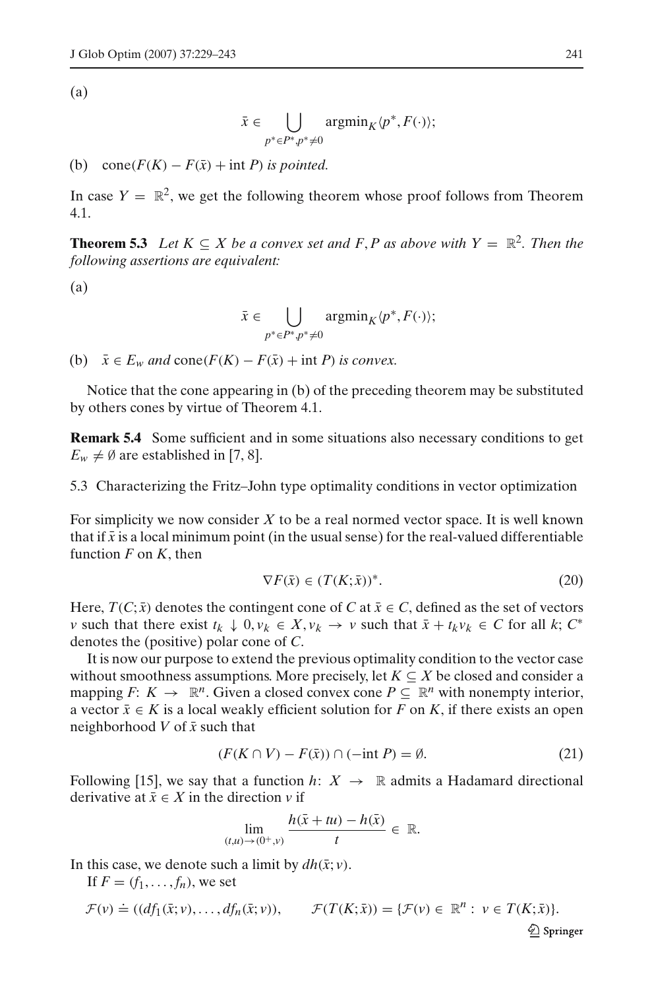(a)

$$
\bar{x}\in \bigcup_{p^*\in P^*, p^*\neq 0} \text{argmin}_K \langle p^*, F(\cdot) \rangle;
$$

(b) cone( $F(K) - F(\bar{x}) + \text{int } P$ ) *is pointed.* 

In case  $Y = \mathbb{R}^2$ , we get the following theorem whose proof follows from Theorem 4.1.

**Theorem 5.3** *Let*  $K \subseteq X$  *be a convex set and*  $F, P$  *as above with*  $Y = \mathbb{R}^2$ *. Then the following assertions are equivalent:*

(a)

$$
\bar{x} \in \bigcup_{p^* \in P^*, p^* \neq 0} \operatorname{argmin}_K \langle p^*, F(\cdot) \rangle;
$$

(b)  $\bar{x} \in E_w$  *and* cone( $F(K) - F(\bar{x}) + \text{int } P$ ) *is convex.* 

Notice that the cone appearing in (b) of the preceding theorem may be substituted by others cones by virtue of Theorem [4.1.](#page-8-1)

**Remark 5.4** Some sufficient and in some situations also necessary conditions to get  $E_w \neq \emptyset$  are established in [7, 8].

5.3 Characterizing the Fritz–John type optimality conditions in vector optimization

For simplicity we now consider *X* to be a real normed vector space. It is well known that if  $\bar{x}$  is a local minimum point (in the usual sense) for the real-valued differentiable function *F* on *K*, then

$$
\nabla F(\bar{x}) \in (T(K; \bar{x}))^*.
$$
 (20)

<span id="page-12-1"></span>Here,  $T(C; \bar{x})$  denotes the contingent cone of *C* at  $\bar{x} \in C$ , defined as the set of vectors *v* such that there exist  $t_k \downarrow 0$ ,  $v_k \in X$ ,  $v_k \rightarrow v$  such that  $\bar{x} + t_k v_k \in C$  for all  $k$ ;  $C^*$ denotes the (positive) polar cone of *C*.

It is now our purpose to extend the previous optimality condition to the vector case without smoothness assumptions. More precisely, let  $K \subseteq X$  be closed and consider a mapping *F*:  $K \to \mathbb{R}^n$ . Given a closed convex cone  $P \subseteq \mathbb{R}^n$  with nonempty interior, a vector  $\bar{x} \in K$  is a local weakly efficient solution for *F* on *K*, if there exists an open neighborhood  $V$  of  $\bar{x}$  such that

$$
(F(K \cap V) - F(\bar{x})) \cap (-\text{int } P) = \emptyset.
$$
\n<sup>(21)</sup>

<span id="page-12-0"></span>Following [15], we say that a function  $h: X \to \mathbb{R}$  admits a Hadamard directional derivative at  $\bar{x} \in X$  in the direction *v* if

$$
\lim_{(t,u)\to(0^+,v)}\frac{h(\bar{x}+tu)-h(\bar{x})}{t}\in\mathbb{R}.
$$

In this case, we denote such a limit by  $dh(\bar{x}; v)$ .

If  $F = (f_1, \ldots, f_n)$ , we set  $\mathcal{F}(v) \doteq ((df_1(\bar{x}; v), \ldots, df_n(\bar{x}; v)),$  $\mathcal{F}(T(K;\bar{x})) = {\mathcal{F}(v) \in \mathbb{R}^n : v \in T(K;\bar{x})}.$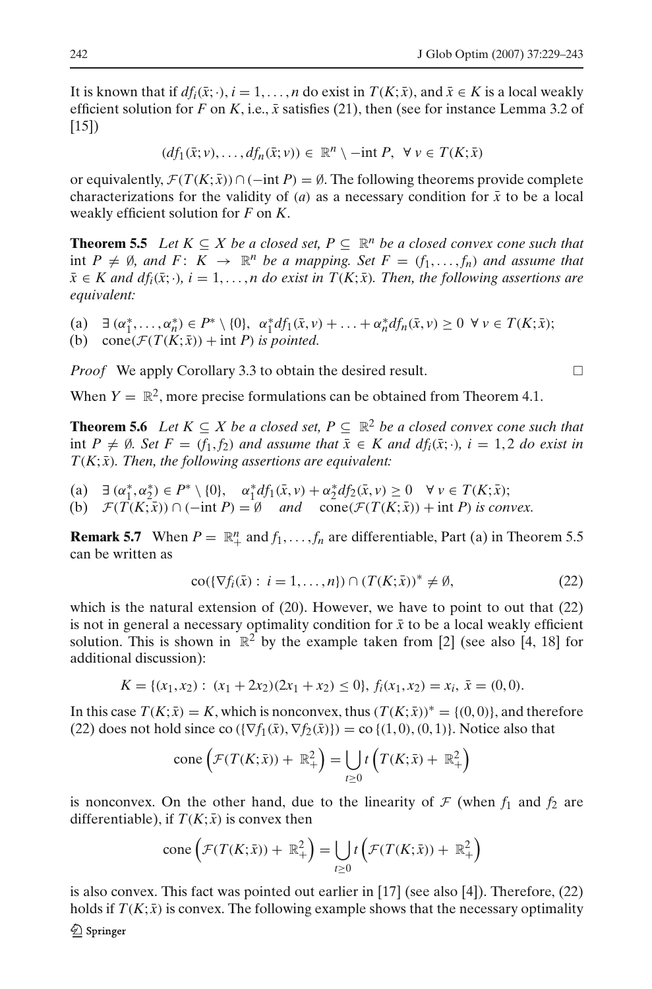It is known that if  $df_i(\bar{x}; \cdot), i = 1, \ldots, n$  do exist in  $T(K; \bar{x})$ , and  $\bar{x} \in K$  is a local weakly efficient solution for *F* on *K*, i.e.,  $\bar{x}$  satisfies [\(21\)](#page-12-0), then (see for instance Lemma 3.2 of [15])

$$
(df_1(\bar{x};v),\ldots,df_n(\bar{x};v)) \in \mathbb{R}^n \setminus -\mathrm{int} P, \ \forall \, v \in T(K;\bar{x})
$$

or equivalently,  $\mathcal{F}(T(K;\bar{x})) \cap (-\text{int } P) = \emptyset$ . The following theorems provide complete characterizations for the validity of  $(a)$  as a necessary condition for  $\bar{x}$  to be a local weakly efficient solution for *F* on *K*.

<span id="page-13-0"></span>**Theorem 5.5** *Let*  $K ⊆ X$  *be a closed set,*  $P ⊆ \mathbb{R}^n$  *be a closed convex cone such that* int  $P \neq \emptyset$ , and  $F: K \to \mathbb{R}^n$  be a mapping. Set  $F = (f_1, \ldots, f_n)$  and assume that  $\bar{x} \in K$  and  $df_i(\bar{x}; \cdot), i = 1, \ldots, n$  do exist in  $T(K; \bar{x})$ *. Then, the following assertions are equivalent:*

 $\alpha_1^* \alpha_2^*, \ldots, \alpha_n^* \in P^* \setminus \{0\}, \alpha_1^* df_1(\bar{x}, \nu) + \ldots + \alpha_n^* df_n(\bar{x}, \nu) \geq 0 \ \forall \nu \in T(K; \bar{x});$ (b) cone( $\mathcal{F}(T(K;\bar{x}))$  + int *P*) *is pointed.* 

*Proof* We apply Corollary [3.3](#page-4-4) to obtain the desired result.

When  $Y = \mathbb{R}^2$ , more precise formulations can be obtained from Theorem 4.1.

**Theorem 5.6** *Let*  $K \subseteq X$  *be a closed set,*  $P \subseteq \mathbb{R}^2$  *be a closed convex cone such that* int *P*  $\neq$  Ø*.* Set *F* = (*f*<sub>1</sub>, *f*<sub>2</sub>) and assume that  $\bar{x}$  ∈ *K* and  $df_i(\bar{x}; \cdot)$ , *i* = 1, 2 *do exist in*  $T(K; \bar{x})$ *. Then, the following assertions are equivalent:* 

(a)  $\exists (\alpha_1^*, \alpha_2^*) \in P^* \setminus \{0\}, \quad \alpha_1^* df_1(\bar{x}, \nu) + \alpha_2^* df_2(\bar{x}, \nu) \geq 0 \quad \forall \nu \in T(K; \bar{x});$ (b)  $\mathcal{F}(T(K;\bar{x})) \cap (-\text{int } P) = \emptyset$  *and*  $\text{cone}(\mathcal{F}(T(K;\bar{x})) + \text{int } P)$  *is convex.* 

**Remark 5.7** When  $P = \mathbb{R}^n_+$  and  $f_1, \ldots, f_n$  are differentiable, Part (a) in Theorem [5.5](#page-13-0) can be written as

$$
\operatorname{co}(\{\nabla f_i(\bar{x}): i = 1, \dots, n\}) \cap (T(K; \bar{x}))^* \neq \emptyset,
$$
\n<sup>(22)</sup>

<span id="page-13-1"></span>which is the natural extension of [\(20\)](#page-12-1). However, we have to point to out that [\(22\)](#page-13-1) is not in general a necessary optimality condition for  $\bar{x}$  to be a local weakly efficient solution. This is shown in  $\mathbb{R}^2$  by the example taken from [2] (see also [4, 18] for additional discussion):

$$
K = \{(x_1, x_2): (x_1 + 2x_2)(2x_1 + x_2) \le 0\}, f_i(x_1, x_2) = x_i, \overline{x} = (0, 0).
$$

In this case  $T(K; \bar{x}) = K$ , which is nonconvex, thus  $(T(K; \bar{x}))^* = \{(0, 0)\}\)$ , and therefore [\(22\)](#page-13-1) does not hold since co  $(\nabla f_1(\bar{x}), \nabla f_2(\bar{x}))$  = co  $\{(1, 0), (0, 1)\}$ . Notice also that

cone 
$$
\left(\mathcal{F}(T(K;\bar{x})) + \mathbb{R}^2_+\right) = \bigcup_{t \geq 0} t\left(T(K;\bar{x}) + \mathbb{R}^2_+\right)
$$

is nonconvex. On the other hand, due to the linearity of  $\mathcal F$  (when  $f_1$  and  $f_2$  are differentiable), if  $T(K; \bar{x})$  is convex then

cone 
$$
\left(\mathcal{F}(T(K;\bar{x})) + \mathbb{R}^2_+\right) = \bigcup_{t \geq 0} t\left(\mathcal{F}(T(K;\bar{x})) + \mathbb{R}^2_+\right)
$$

is also convex. This fact was pointed out earlier in [17] (see also [4]). Therefore, [\(22\)](#page-13-1) holds if  $T(K; \bar{x})$  is convex. The following example shows that the necessary optimality

$$
\Box
$$